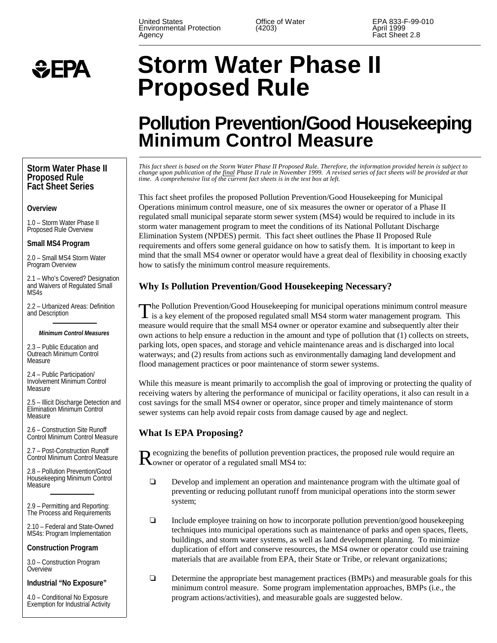United States **Contains Contains Control** Office of Water **EPA 833-F-99-010**<br>
Environmental Protection (4203) 68 April 1999 Environmental Protection (4203)<br>Agency Agency Agency Agency Agency Fact Sheet 2.8



# **Storm Water Phase II Proposed Rule**

# **Pollution Prevention/Good Housekeeping Minimum Control Measure**

*This fact sheet is based on the Storm Water Phase II Proposed Rule. Therefore, the information provided herein is subject to change upon publication of the final Phase II rule in November 1999. A revised series of fact sheets will be provided at that time. A comprehensive list of the current fact sheets is in the text box at left.*

This fact sheet profiles the proposed Pollution Prevention/Good Housekeeping for Municipal Operations minimum control measure, one of six measures the owner or operator of a Phase II regulated small municipal separate storm sewer system (MS4) would be required to include in its storm water management program to meet the conditions of its National Pollutant Discharge Elimination System (NPDES) permit. This fact sheet outlines the Phase II Proposed Rule requirements and offers some general guidance on how to satisfy them. It is important to keep in mind that the small MS4 owner or operator would have a great deal of flexibility in choosing exactly how to satisfy the minimum control measure requirements.

# **Why Is Pollution Prevention/Good Housekeeping Necessary?**

The Pollution Prevention/Good Housekeeping for municipal operations minimum control measure is a key element of the proposed regulated small MS4 storm water management program. This measure would require that the small MS4 owner or operator examine and subsequently alter their own actions to help ensure a reduction in the amount and type of pollution that (1) collects on streets, parking lots, open spaces, and storage and vehicle maintenance areas and is discharged into local waterways; and (2) results from actions such as environmentally damaging land development and flood management practices or poor maintenance of storm sewer systems.

While this measure is meant primarily to accomplish the goal of improving or protecting the quality of receiving waters by altering the performance of municipal or facility operations, it also can result in a cost savings for the small MS4 owner or operator, since proper and timely maintenance of storm sewer systems can help avoid repair costs from damage caused by age and neglect.

# **What Is EPA Proposing?**

**Recognizing the benefits of pollution prevention practices, the proposed rule would require an K**owner or operator of a regulated small MS4 to:

- Develop and implement an operation and maintenance program with the ultimate goal of preventing or reducing pollutant runoff from municipal operations into the storm sewer system;
- Include employee training on how to incorporate pollution prevention/good housekeeping techniques into municipal operations such as maintenance of parks and open spaces, fleets, buildings, and storm water systems, as well as land development planning. To minimize duplication of effort and conserve resources, the MS4 owner or operator could use training materials that are available from EPA, their State or Tribe, or relevant organizations;
- $\Box$  Determine the appropriate best management practices (BMPs) and measurable goals for this minimum control measure. Some program implementation approaches, BMPs (i.e., the program actions/activities), and measurable goals are suggested below.

#### **Storm Water Phase II Proposed Rule Fact Sheet Series**

#### **Overview**

1.0 – Storm Water Phase II Proposed Rule Overview

#### **Small MS4 Program**

2.0 – Small MS4 Storm Water Program Overview

2.1 – Who's Covered? Designation and Waivers of Regulated Small MS4s

2.2 – Urbanized Areas: Definition and Description

#### *Minimum Control Measures*

2.3 – Public Education and Outreach Minimum Control Measure

2.4 – Public Participation/ Involvement Minimum Control Measure

2.5 – Illicit Discharge Detection and Elimination Minimum Control Measure

2.6 – Construction Site Runoff Control Minimum Control Measure

2.7 – Post-Construction Runoff Control Minimum Control Measure

2.8 – Pollution Prevention/Good Housekeeping Minimum Control Measure

2.9 – Permitting and Reporting: The Process and Requirements

2.10 – Federal and State-Owned MS4s: Program Implementation

**Construction Program**

3.0 – Construction Program Overview

**Industrial "No Exposure"**

4.0 – Conditional No Exposure Exemption for Industrial Activity